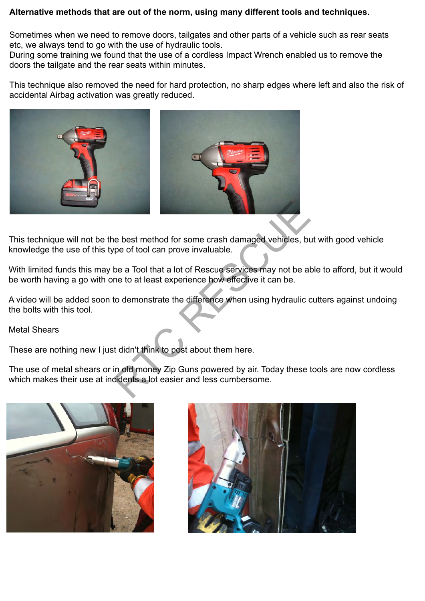## **Alternative methods that are out of the norm, using many different tools and techniques.**

Sometimes when we need to remove doors, tailgates and other parts of a vehicle such as rear seats etc, we always tend to go with the use of hydraulic tools.

During some training we found that the use of a cordless Impact Wrench enabled us to remove the doors the tailgate and the rear seats within minutes.

This technique also removed the need for hard protection, no sharp edges where left and also the risk of accidental Airbag activation was greatly reduced.



This technique will not be the best method for some crash damaged vehicles, but with good vehicle knowledge the use of this type of tool can prove invaluable.

With limited funds this may be a Tool that a lot of Rescue services may not be able to afford, but it would be worth having a go with one to at least experience how effective it can be.

A video will be added soon to demonstrate the difference when using hydraulic cutters against undoing the bolts with this tool.

Metal Shears

These are nothing new I just didn't think to post about them here.

The use of metal shears or in old money Zip Guns powered by air. Today these tools are now cordless which makes their use at incidents a lot easier and less cumbersome.